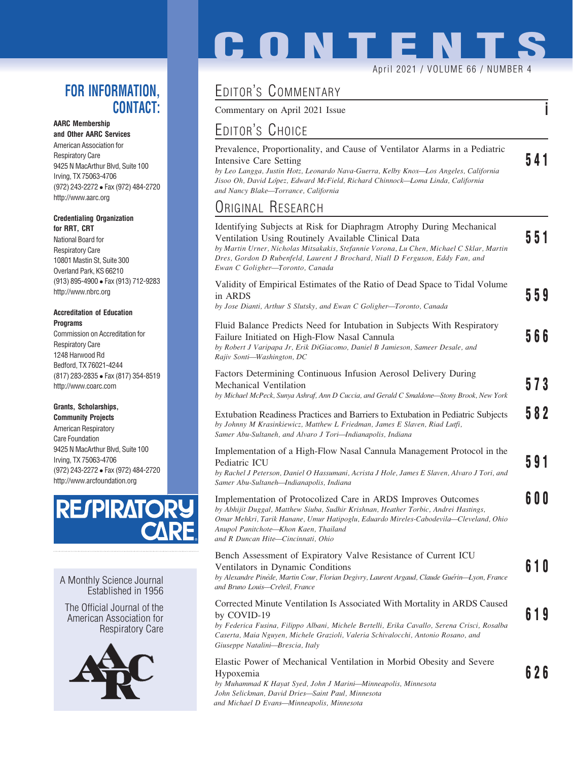### FOR INFORMATION, CONTACT:

### AARC Membership

and Other AARC Services American Association for Respiratory Care 9425 N MacArthur Blvd, Suite 100 Irving, TX 75063-4706 (972) 243-2272 Fax (972) 484-2720 http://www.aarc.org

### Credentialing Organization for RRT, CRT

National Board for Respiratory Care 10801 Mastin St, Suite 300 Overland Park, KS 66210 (913) 895-4900 Fax (913) 712-9283 http://www.nbrc.org

### Accreditation of Education **Programs**

Commission on Accreditation for Respiratory Care 1248 Harwood Rd Bedford, TX 76021-4244 (817) 283-2835 Fax (817) 354-8519 http://www.coarc.com

### Grants, Scholarships,

Community Projects American Respiratory Care Foundation 9425 N MacArthur Blvd, Suite 100 Irving, TX 75063-4706 (972) 243-2272 Fax (972) 484-2720 http://www.arcfoundation.org



A Monthly Science Journal Established in 1956

The Official Journal of the American Association for Respiratory Care



# **CONTENTS** April 2021 / VOLUME 66 / NUMBER 4

# EDITOR'S COMMENTARY

Commentary on April 2021 Issue in the same in the set of the set of the set of the set of the set of the set of the set of the set of the set of the set of the set of the set of the set of the set of the set of the set of

# EDITOR'S CHOICE

| Prevalence, Proportionality, and Cause of Ventilator Alarms in a Pediatric           |     |
|--------------------------------------------------------------------------------------|-----|
| Intensive Care Setting                                                               | 541 |
| by Leo Langga, Justin Hotz, Leonardo Nava-Guerra, Kelby Knox—Los Angeles, California |     |
| Jisoo Oh, David López, Edward McField, Richard Chinnock—Loma Linda, California       |     |
| and Nancy Blake—Torrance, California                                                 |     |

## ORIGINAL RESEARCH

| Identifying Subjects at Risk for Diaphragm Atrophy During Mechanical<br>Ventilation Using Routinely Available Clinical Data<br>by Martin Urner, Nicholas Mitsakakis, Stefannie Vorona, Lu Chen, Michael C Sklar, Martin<br>Dres, Gordon D Rubenfeld, Laurent J Brochard, Niall D Ferguson, Eddy Fan, and<br>Ewan C Goligher-Toronto, Canada | 551 |  |
|---------------------------------------------------------------------------------------------------------------------------------------------------------------------------------------------------------------------------------------------------------------------------------------------------------------------------------------------|-----|--|
| Validity of Empirical Estimates of the Ratio of Dead Space to Tidal Volume<br>in ARDS<br>by Jose Dianti, Arthur S Slutsky, and Ewan C Goligher-Toronto, Canada                                                                                                                                                                              | 559 |  |
| Fluid Balance Predicts Need for Intubation in Subjects With Respiratory<br>Failure Initiated on High-Flow Nasal Cannula<br>by Robert J Varipapa Jr, Erik DiGiacomo, Daniel B Jamieson, Sameer Desale, and<br>Rajiv Sonti-Washington, DC                                                                                                     | 566 |  |
| Factors Determining Continuous Infusion Aerosol Delivery During<br>Mechanical Ventilation<br>by Michael McPeck, Sunya Ashraf, Ann D Cuccia, and Gerald C Smaldone-Stony Brook, New York                                                                                                                                                     | 573 |  |
| Extubation Readiness Practices and Barriers to Extubation in Pediatric Subjects<br>by Johnny M Krasinkiewicz, Matthew L Friedman, James E Slaven, Riad Lutfi,<br>Samer Abu-Sultaneh, and Alvaro J Tori-Indianapolis, Indiana                                                                                                                | 582 |  |
| Implementation of a High-Flow Nasal Cannula Management Protocol in the<br>Pediatric ICU<br>by Rachel J Peterson, Daniel O Hassumani, Acrista J Hole, James E Slaven, Alvaro J Tori, and<br>Samer Abu-Sultaneh-Indianapolis, Indiana                                                                                                         | 591 |  |
| Implementation of Protocolized Care in ARDS Improves Outcomes<br>by Abhijit Duggal, Matthew Siuba, Sudhir Krishnan, Heather Torbic, Andrei Hastings,<br>Omar Mehkri, Tarik Hanane, Umur Hatipoglu, Eduardo Mireles-Cabodevila—Cleveland, Ohio<br>Anupol Panitchote-Khon Kaen, Thailand<br>and R Duncan Hite-Cincinnati, Ohio                | 600 |  |
| Bench Assessment of Expiratory Valve Resistance of Current ICU<br>Ventilators in Dynamic Conditions<br>by Alexandre Pinède, Martin Cour, Florian Degivry, Laurent Argaud, Claude Guérin-Lyon, France<br>and Bruno Louis-Créteil, France                                                                                                     | 610 |  |
| Corrected Minute Ventilation Is Associated With Mortality in ARDS Caused<br>by COVID-19<br>by Federica Fusina, Filippo Albani, Michele Bertelli, Erika Cavallo, Serena Crisci, Rosalba<br>Caserta, Maia Nguyen, Michele Grazioli, Valeria Schivalocchi, Antonio Rosano, and<br>Giuseppe Natalini-Brescia, Italy                             | 619 |  |
| Elastic Power of Mechanical Ventilation in Morbid Obesity and Severe<br>Hypoxemia<br>by Muhammad K Hayat Syed, John J Marini-Minneapolis, Minnesota                                                                                                                                                                                         | 626 |  |

John Selickman, David Dries—Saint Paul, Minnesota and Michael D Evans—Minneapolis, Minnesota